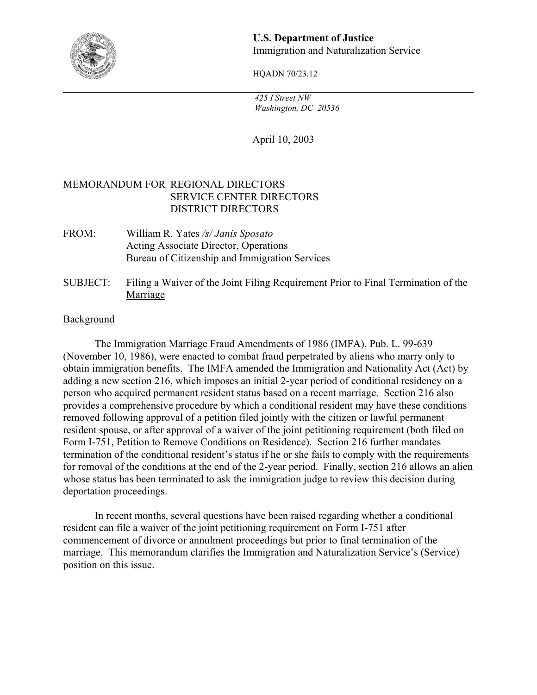

### **U.S. Department of Justice**  Immigration and Naturalization Service

HQADN 70/23.12

 *425 I Street NW Washington, DC 20536* 

April 10, 2003

# MEMORANDUM FOR REGIONAL DIRECTORS SERVICE CENTER DIRECTORS DISTRICT DIRECTORS

- FROM: William R. Yates */s/ Janis Sposato* Acting Associate Director, Operations Bureau of Citizenship and Immigration Services
- SUBJECT: Filing a Waiver of the Joint Filing Requirement Prior to Final Termination of the Marriage

### Background

The Immigration Marriage Fraud Amendments of 1986 (IMFA), Pub. L. 99-639 (November 10, 1986), were enacted to combat fraud perpetrated by aliens who marry only to obtain immigration benefits. The IMFA amended the Immigration and Nationality Act (Act) by adding a new section 216, which imposes an initial 2-year period of conditional residency on a person who acquired permanent resident status based on a recent marriage. Section 216 also provides a comprehensive procedure by which a conditional resident may have these conditions removed following approval of a petition filed jointly with the citizen or lawful permanent resident spouse, or after approval of a waiver of the joint petitioning requirement (both filed on Form I-751, Petition to Remove Conditions on Residence). Section 216 further mandates termination of the conditional resident's status if he or she fails to comply with the requirements for removal of the conditions at the end of the 2-year period. Finally, section 216 allows an alien whose status has been terminated to ask the immigration judge to review this decision during deportation proceedings.

In recent months, several questions have been raised regarding whether a conditional resident can file a waiver of the joint petitioning requirement on Form I-751 after commencement of divorce or annulment proceedings but prior to final termination of the marriage. This memorandum clarifies the Immigration and Naturalization Service's (Service) position on this issue.